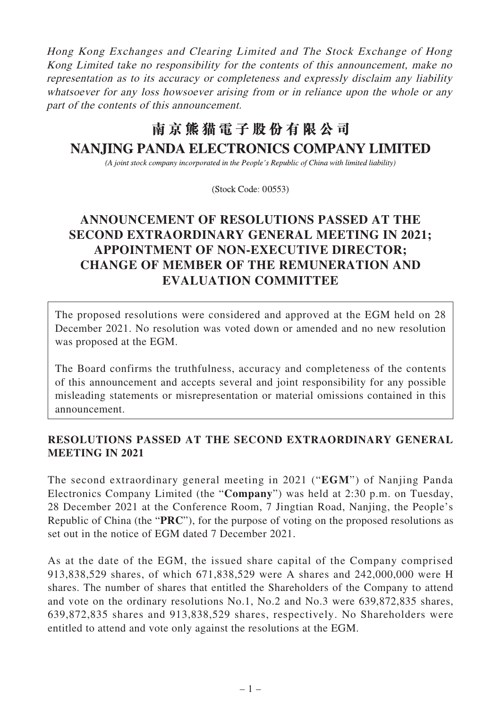Hong Kong Exchanges and Clearing Limited and The Stock Exchange of Hong Kong Limited take no responsibility for the contents of this announcement, make no representation as to its accuracy or completeness and expressly disclaim any liability whatsoever for any loss howsoever arising from or in reliance upon the whole or any part of the contents of this announcement.

# 南京熊猫電子股份有限公司 **NANJING PANDA ELECTRONICS COMPANY LIMITED**

(A joint stock company incorporated in the People's Republic of China with limited liability)

(Stock Code: 00553)

## **ANNOUNCEMENT OF RESOLUTIONS PASSED AT THE SECOND EXTRAORDINARY GENERAL MEETING IN 2021; APPOINTMENT OF NON-EXECUTIVE DIRECTOR; CHANGE OF MEMBER OF THE REMUNERATION AND EVALUATION COMMITTEE**

The proposed resolutions were considered and approved at the EGM held on 28 December 2021. No resolution was voted down or amended and no new resolution was proposed at the EGM.

The Board confirms the truthfulness, accuracy and completeness of the contents of this announcement and accepts several and joint responsibility for any possible misleading statements or misrepresentation or material omissions contained in this announcement.

### **RESOLUTIONS PASSED AT THE SECOND EXTRAORDINARY GENERAL MEETING IN 2021**

The second extraordinary general meeting in 2021 ("**EGM**") of Nanjing Panda Electronics Company Limited (the "**Company**") was held at 2:30 p.m. on Tuesday, 28 December 2021 at the Conference Room, 7 Jingtian Road, Nanjing, the People's Republic of China (the "**PRC**"), for the purpose of voting on the proposed resolutions as set out in the notice of EGM dated 7 December 2021.

As at the date of the EGM, the issued share capital of the Company comprised 913,838,529 shares, of which 671,838,529 were A shares and 242,000,000 were H shares. The number of shares that entitled the Shareholders of the Company to attend and vote on the ordinary resolutions No.1, No.2 and No.3 were 639,872,835 shares, 639,872,835 shares and 913,838,529 shares, respectively. No Shareholders were entitled to attend and vote only against the resolutions at the EGM.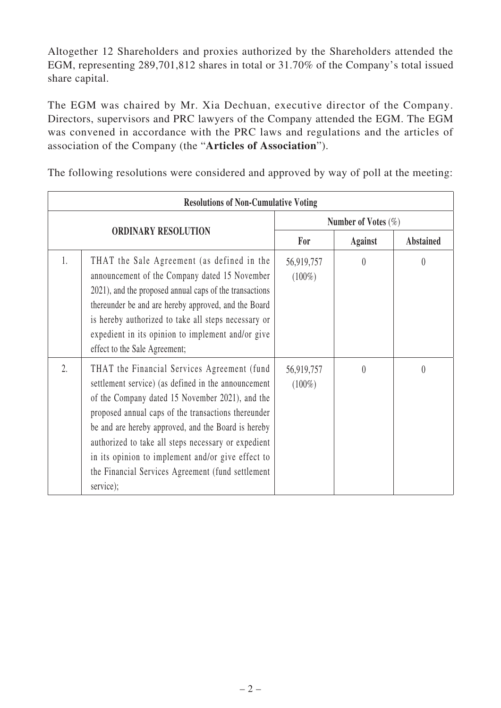Altogether 12 Shareholders and proxies authorized by the Shareholders attended the EGM, representing 289,701,812 shares in total or 31.70% of the Company's total issued share capital.

The EGM was chaired by Mr. Xia Dechuan, executive director of the Company. Directors, supervisors and PRC lawyers of the Company attended the EGM. The EGM was convened in accordance with the PRC laws and regulations and the articles of association of the Company (the "**Articles of Association**").

The following resolutions were considered and approved by way of poll at the meeting:

| <b>Resolutions of Non-Cumulative Voting</b> |                                                                                                                                                                                                                                                                                                                                                                                                                                                   |                         |                |                  |  |  |
|---------------------------------------------|---------------------------------------------------------------------------------------------------------------------------------------------------------------------------------------------------------------------------------------------------------------------------------------------------------------------------------------------------------------------------------------------------------------------------------------------------|-------------------------|----------------|------------------|--|--|
| <b>ORDINARY RESOLUTION</b>                  |                                                                                                                                                                                                                                                                                                                                                                                                                                                   | Number of Votes $(\%)$  |                |                  |  |  |
|                                             |                                                                                                                                                                                                                                                                                                                                                                                                                                                   | For                     | <b>Against</b> | <b>Abstained</b> |  |  |
| 1.                                          | THAT the Sale Agreement (as defined in the<br>announcement of the Company dated 15 November<br>2021), and the proposed annual caps of the transactions<br>thereunder be and are hereby approved, and the Board<br>is hereby authorized to take all steps necessary or<br>expedient in its opinion to implement and/or give<br>effect to the Sale Agreement;                                                                                       | 56,919,757<br>$(100\%)$ | $\theta$       | $\theta$         |  |  |
| $\overline{2}$ .                            | THAT the Financial Services Agreement (fund<br>settlement service) (as defined in the announcement<br>of the Company dated 15 November 2021), and the<br>proposed annual caps of the transactions thereunder<br>be and are hereby approved, and the Board is hereby<br>authorized to take all steps necessary or expedient<br>in its opinion to implement and/or give effect to<br>the Financial Services Agreement (fund settlement<br>service); | 56,919,757<br>$(100\%)$ | $\theta$       | $\theta$         |  |  |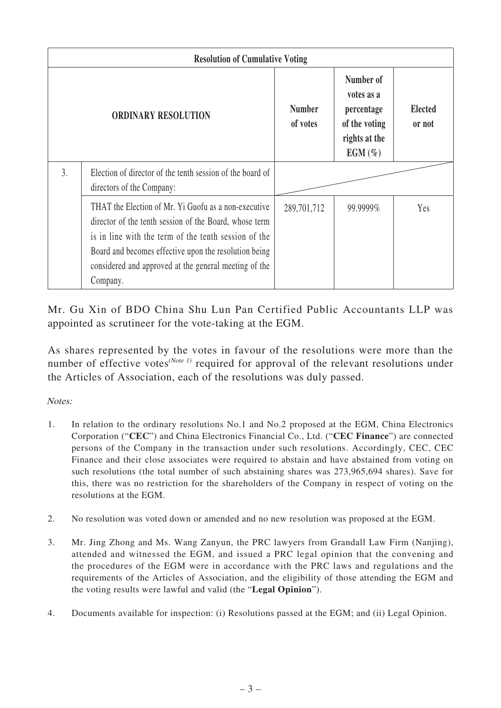| <b>Resolution of Cumulative Voting</b> |                                                                                                                                                                                                                                                                                                      |                           |                                                                                      |                          |  |  |
|----------------------------------------|------------------------------------------------------------------------------------------------------------------------------------------------------------------------------------------------------------------------------------------------------------------------------------------------------|---------------------------|--------------------------------------------------------------------------------------|--------------------------|--|--|
| <b>ORDINARY RESOLUTION</b>             |                                                                                                                                                                                                                                                                                                      | <b>Number</b><br>of votes | Number of<br>votes as a<br>percentage<br>of the voting<br>rights at the<br>$EGM(\%)$ | <b>Elected</b><br>or not |  |  |
| 3.                                     | Election of director of the tenth session of the board of<br>directors of the Company:                                                                                                                                                                                                               |                           |                                                                                      |                          |  |  |
|                                        | THAT the Election of Mr. Yi Guofu as a non-executive<br>director of the tenth session of the Board, whose term<br>is in line with the term of the tenth session of the<br>Board and becomes effective upon the resolution being<br>considered and approved at the general meeting of the<br>Company. | 289,701,712               | 99.9999%                                                                             | Yes                      |  |  |

Mr. Gu Xin of BDO China Shu Lun Pan Certified Public Accountants LLP was appointed as scrutineer for the vote-taking at the EGM.

As shares represented by the votes in favour of the resolutions were more than the number of effective votes<sup>(Note 1)</sup> required for approval of the relevant resolutions under the Articles of Association, each of the resolutions was duly passed.

Notes:

- 1. In relation to the ordinary resolutions No.1 and No.2 proposed at the EGM, China Electronics Corporation ("**CEC**") and China Electronics Financial Co., Ltd. ("**CEC Finance**") are connected persons of the Company in the transaction under such resolutions. Accordingly, CEC, CEC Finance and their close associates were required to abstain and have abstained from voting on such resolutions (the total number of such abstaining shares was 273,965,694 shares). Save for this, there was no restriction for the shareholders of the Company in respect of voting on the resolutions at the EGM.
- 2. No resolution was voted down or amended and no new resolution was proposed at the EGM.
- 3. Mr. Jing Zhong and Ms. Wang Zanyun, the PRC lawyers from Grandall Law Firm (Nanjing), attended and witnessed the EGM, and issued a PRC legal opinion that the convening and the procedures of the EGM were in accordance with the PRC laws and regulations and the requirements of the Articles of Association, and the eligibility of those attending the EGM and the voting results were lawful and valid (the "**Legal Opinion**").
- 4. Documents available for inspection: (i) Resolutions passed at the EGM; and (ii) Legal Opinion.